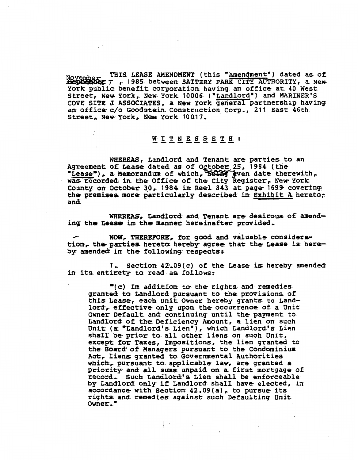**v** THIS LEASE AMENDMENT (this "Amendment") dated as of **Property This ISS** between BATTERY PARK CITY AUTHORITY, a New York public benefit corporation having an office at 40 West Street, New York, New York 10006 ("Landlord") and MARINER'S COVE SITE **J** ASSOCIATES, a New York general partnership having. an- off ice c/o Goodstein. Construction Corp, , 21 1 East 46th an office c/o Goodstein Construction Corp., 211 East 46th.<br>Street, New York, New York 10017.

WHEREAS, Landlord and Tenant are parties to an Agreement of Lease dated as of October. 25, 1984 (the "Lease"), a Memorandum of which, Seling aven date therewith, In office c/o Goodstein Construction Corp., 211 East 46th<br>
Erect, New York, New York 10017.<br>
WEREAS, Landlord and Tenant are parties to an<br>
Superment of Lease dated as of October 25, 1984 (the<br>
Lease<sup>th</sup>), a Memorandum of was recorded; in the Office of the City Register, New York County on October 30, 1984 in Reel 843 at page 1699 covering the premises more particularly described in Exhibit A hereto; and

WHEREAS, Landlord and Tenant are desirous of amending the Lease in the manner hereinafter provided.

**a? NOW, THEREFORE,** for good and valuable considera-. tion, the parties hereto hereby agree that the Lease is hereby amended in the following respects:

**<sup>I</sup>**Section 42,09(c) of the Lease. **is** hereby amended: in its entirety to read as follows:

"( **C)** In addition **to-** the rights and. remedies grantea to Landlor& pursuant to the provisions of this Lease, each Unit Owner hereby grants to Landlord. effective only upon the occurrence of a Unit Owner Default. and continuing until the payment to Landlor& of the Deficiency Amount, a lien on such Unit **(ac** \*Landlord's Lien"), which Landlord's Lien shall be prior to all other liens on such Unit, except for Taxes, Impositions, the lien granted to **the.** Boar& of Managers pursuant to the Condominium Act, Liens; granted to Governmental Authorities which, pursuant to applicable law, are granted a priority. and alL **sums** unpaid on a first mortgage of record, Such Landlord's Lien shall be enforceable by Landlord **only** if Landlord. shall have elected, in priority and all sums unpaid on a first mortgage<br>record. Such Landlord's Lien shall be enforceably<br>by Landlord only if Landlord shall have elected,<br>accordance with Section 42.09(a), to pursue its accordance with Section  $42.09(a)$ , to pursue its rights and remedies against such Defaulting Unit Owner."

 $\mathbf{C} = \mathbf{C} \times \mathbf{C}$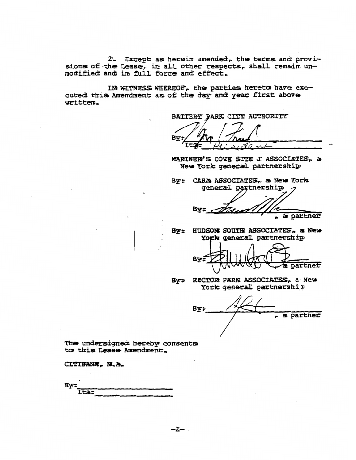2. Except as herein amended, the terms and provisions of the Lease, in all other respects, shall remain unmodified and in full force and effect.

IN WITNESS WHEREOF, the parties hereto have executed this Amendment as of the day and year first above written.

BATTERY PARK CITY AUTHORITY

**By:** 

MARINER'S COVE SITE J ASSOCIATES, a New York general partnership

By: CARA ASSOCIATES. a New York general partnership

**Bv:** a partner

By: HUDSON SOUTH ASSOCIATES, a New York general partnership



RECTOR PARK ASSOCIATES, a New **By:** York general partnership

**By:** a partner

The undersigned hereby consents to this Lease Amendment.

CITIBANK, N.A.

By: **Tts:**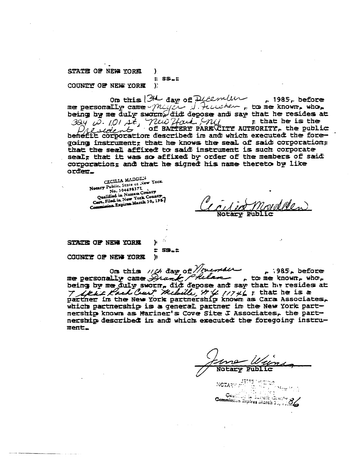## STATE OF NEW YORK 1  $E$  SS. $E$ COUNTY OF NEW YORK  $\Sigma$

On this  $34$  day of Dicember , 1985, before me personally came Messer J. Heuchen, to me known, who,  $\frac{324}{101}$   $\frac{10}{101}$   $\frac{10}{101}$   $\frac{20}{101}$   $\frac{20}{101}$   $\frac{20}{101}$   $\frac{20}{101}$   $\frac{20}{101}$  of BALTERY PARK CITY AUTHORITY, the public benefitt corporation described in and which executed the foregoing instrument; that he knows the seal of said corporation; that the seal affixed to said instrument is such corporate seal; that it was so affixed by order of the members of said corporation; and that he signed his name thereto by like orđen.

CECILIA MADDEN Notary Public, State or New York. No. 304698371 Qualified in Nassau County Cert. Filed in New York County Commission Expires March 30, 1987

STATE OF NEW YORK

 $E$   $S9.5$  $\mathbf{y}$ 

Þ

COUNTY OF NEW YORK

On this  $11th$  day of  $\sqrt{\mu}$  ends  $\mu$  1985, before  $.985.$  before being by me duly sworn, did depose and say that he resides at partner in the New York partnership known as Cara Associates, which partnership is a general partner in the New York partnership known as Mariner's Cove Site J Associates, the partnership described in and which executed the foregoing instrument\_

**USSES MEDICA**<br>NOTARY PIPE ON THE PERMIT OF Gualticul in Euricik Genety<br>Commission Expires March 37, 1706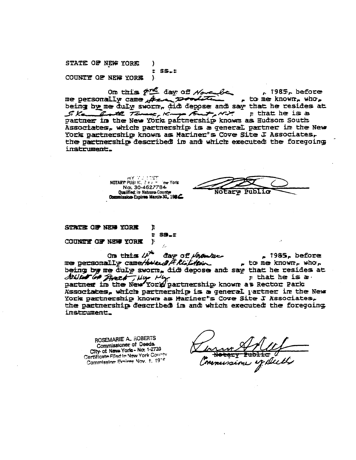STATE OF NEW YORK -1  $ES.E$ COUNTY OF NEW YORK  $\mathcal{E}$ 

On this for day of November  $n.1985n$  before me personally came there poolities  $_{\rm P}$  to me known, who, being by me duly sworn, did depose and say that he resides at Si Ke hat he is a partner in the New York partnership known as Hudson South  $\tau$  that he is a Associates, which partnership is a general partner in the New York partnership known as Mariner"s Cove Site J Associates, the partnership described in and which executed the foregoing instrument.

> NOTARY PUBLIC, Size million York No. 30-4627784 **Oualified: in Nassau County:** Commission Expires March 30, 1986

Notary

STATE OF NEW YORK J.  $\bullet$ **SS.F** COUNTY OF NEW YORK Y  $\hat{f}_\pi$ 

On this  $\mathcal{L}^{\mathcal{A}}$ day of Volonture  $p$  1985, before me personality came/hole of the floor  $_{r}$  to me known, who, being by me duly sworn, did depose and say that he resides at Silled of freeh Uly My My actnership known as Rector Park  $\pi$  that he is a. Associates, which partnership is a general partner in the New York partnership known as Mariner's Cove Site J Associates, the partnership described in and which executed the foregoing instrument\_

ROSEMARIE A. ROBERTS Commissioner of Deeds. City of New Yorks - No. 1-2739 Certificate Filed in New York County Commission Expires Nov. t. 1976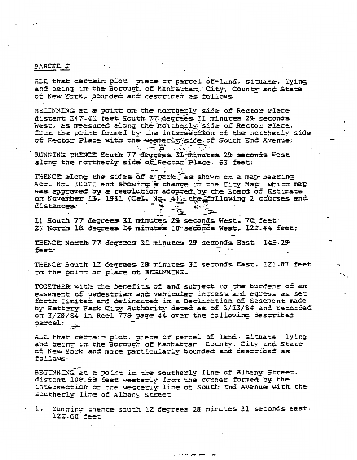## PARCEL J

ALL that certain plot piece or parcel of-land, situate, lying and being in the Borough of Manhattan, City, County and State of New York, bounded and described as follows

BEGINNING at a point on the northerly side of Rector Place distant 247-41 feet South 77 degrees 31 minutes 29 seconds West, as measured along the northerly side of Rector Place, from the point formed by the intersection of the northerly side of Rector Place with the westerly side of South End Avenue;  $\mathcal{L}(\mathbb{R}^d)$ 

RUNNING THENCE South 77 degrees 31 minutes 29 seconds West along the northerly side of Rector Place. 63 feet;

 $-5$ 

THENCE along the sides of a-park, as shown on a map bearing Acc. No. 30071 and showing a change in the City Map. which map was approved by a resolution adopted by the Board of Estimate on November 13, 1981 (Cal. No. 4), the following 2 courses and distances

I) South 77 degrees 31 minutes 29 seconds West, 70 feet 2) North 18 degrees 14 minutes 10 seconds West, 122.44 feet;

THENCE North 77 degrees 31 minutes 29 seconds East 145.29 feet-

THENCE South 12 degrees 28 minutes 31 seconds East, 121.83 feet " to the point or place of BEGINNING.

TOGETHER with the benefits of and subject to the burdens of an easement of pedestrian and vehicular ingress and egress as set forth limited and delineated in a Declaration of Easement made by Battery Park City Authority dated as of 3/23/84 and recorded on 3/28/84 in Reel 778 page 44 over the following described parcel:

ALL that certain plot. piece or parcel of land. situate. lying and being in the Borough of Manhattan, County, City and State of New York and more particularly bounded and described as follows-

BEGINNING at a point in the southerly line of Albany Street. distant 102.58 feet westerly from the corner formed by the intersection of the westerly line of South End Avenue with the southerly line of Albany Street

running thence south 12 degrees 28 minutes 31 seconds east.  $\mathsf{L}$ .  $122.00$  feet